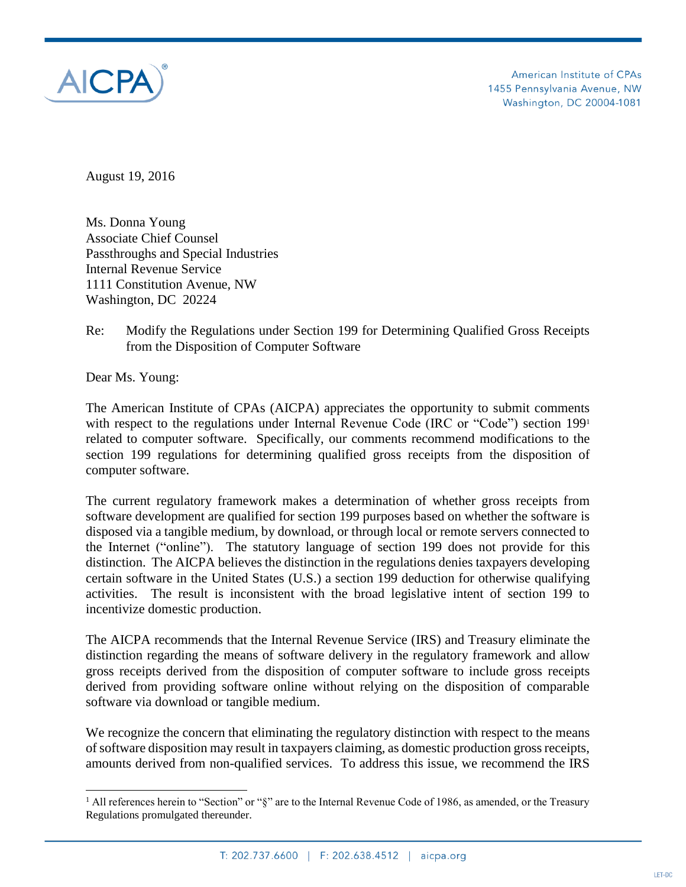

August 19, 2016

Ms. Donna Young Associate Chief Counsel Passthroughs and Special Industries Internal Revenue Service 1111 Constitution Avenue, NW Washington, DC 20224

Re: Modify the Regulations under Section 199 for Determining Qualified Gross Receipts from the Disposition of Computer Software

Dear Ms. Young:

 $\overline{a}$ 

The American Institute of CPAs (AICPA) appreciates the opportunity to submit comments with respect to the regulations under Internal Revenue Code (IRC or "Code") section 199<sup>1</sup> related to computer software. Specifically, our comments recommend modifications to the section 199 regulations for determining qualified gross receipts from the disposition of computer software.

The current regulatory framework makes a determination of whether gross receipts from software development are qualified for section 199 purposes based on whether the software is disposed via a tangible medium, by download, or through local or remote servers connected to the Internet ("online"). The statutory language of section 199 does not provide for this distinction. The AICPA believes the distinction in the regulations denies taxpayers developing certain software in the United States (U.S.) a section 199 deduction for otherwise qualifying activities. The result is inconsistent with the broad legislative intent of section 199 to incentivize domestic production.

The AICPA recommends that the Internal Revenue Service (IRS) and Treasury eliminate the distinction regarding the means of software delivery in the regulatory framework and allow gross receipts derived from the disposition of computer software to include gross receipts derived from providing software online without relying on the disposition of comparable software via download or tangible medium.

We recognize the concern that eliminating the regulatory distinction with respect to the means of software disposition may result in taxpayers claiming, as domestic production gross receipts, amounts derived from non-qualified services. To address this issue, we recommend the IRS

 $1$  All references herein to "Section" or "§" are to the Internal Revenue Code of 1986, as amended, or the Treasury Regulations promulgated thereunder.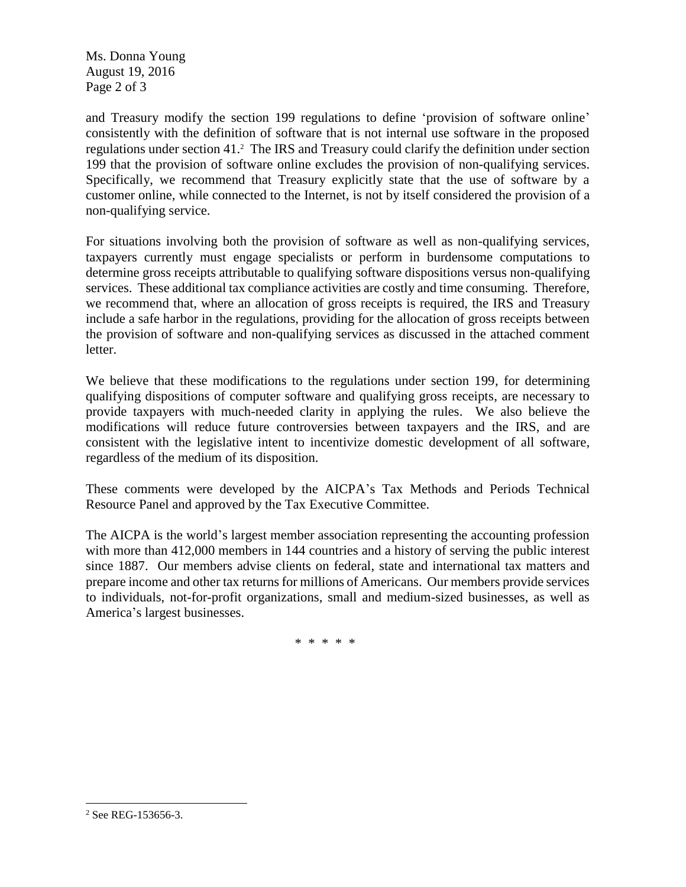Ms. Donna Young August 19, 2016 Page 2 of 3

and Treasury modify the section 199 regulations to define 'provision of software online' consistently with the definition of software that is not internal use software in the proposed regulations under section 41.<sup>2</sup> The IRS and Treasury could clarify the definition under section 199 that the provision of software online excludes the provision of non-qualifying services. Specifically, we recommend that Treasury explicitly state that the use of software by a customer online, while connected to the Internet, is not by itself considered the provision of a non-qualifying service.

For situations involving both the provision of software as well as non-qualifying services, taxpayers currently must engage specialists or perform in burdensome computations to determine gross receipts attributable to qualifying software dispositions versus non-qualifying services. These additional tax compliance activities are costly and time consuming. Therefore, we recommend that, where an allocation of gross receipts is required, the IRS and Treasury include a safe harbor in the regulations, providing for the allocation of gross receipts between the provision of software and non-qualifying services as discussed in the attached comment letter.

We believe that these modifications to the regulations under section 199, for determining qualifying dispositions of computer software and qualifying gross receipts, are necessary to provide taxpayers with much-needed clarity in applying the rules. We also believe the modifications will reduce future controversies between taxpayers and the IRS, and are consistent with the legislative intent to incentivize domestic development of all software, regardless of the medium of its disposition.

These comments were developed by the AICPA's Tax Methods and Periods Technical Resource Panel and approved by the Tax Executive Committee.

The AICPA is the world's largest member association representing the accounting profession with more than 412,000 members in 144 countries and a history of serving the public interest since 1887. Our members advise clients on federal, state and international tax matters and prepare income and other tax returns for millions of Americans. Our members provide services to individuals, not-for-profit organizations, small and medium-sized businesses, as well as America's largest businesses.

\* \* \* \* \*

<sup>&</sup>lt;sup>2</sup> See REG-153656-3.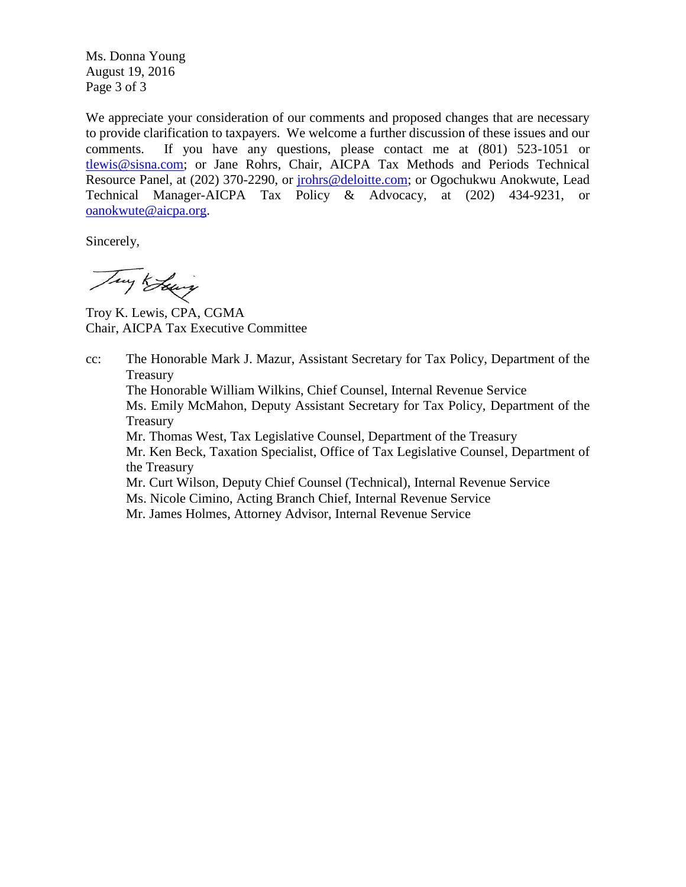Ms. Donna Young August 19, 2016 Page 3 of 3

We appreciate your consideration of our comments and proposed changes that are necessary to provide clarification to taxpayers. We welcome a further discussion of these issues and our comments. If you have any questions, please contact me at (801) 523-1051 or [tlewis@sisna.com;](mailto:tlewis@sisna.com) or Jane Rohrs, Chair, AICPA Tax Methods and Periods Technical Resource Panel, at (202) 370-2290, or [jrohrs@deloitte.com;](mailto:jrohrs@deloitte.com) or Ogochukwu Anokwute, Lead Technical Manager-AICPA Tax Policy & Advocacy, at (202) 434-9231, or [oanokwute@aicpa.org.](mailto:oanokwute@aicpa.org)

Sincerely,

Try Edwing

Troy K. Lewis, CPA, CGMA Chair, AICPA Tax Executive Committee

cc: The Honorable Mark J. Mazur, Assistant Secretary for Tax Policy, Department of the Treasury

The Honorable William Wilkins, Chief Counsel, Internal Revenue Service

Ms. Emily McMahon, Deputy Assistant Secretary for Tax Policy, Department of the Treasury

Mr. Thomas West, Tax Legislative Counsel, Department of the Treasury

Mr. Ken Beck, Taxation Specialist, Office of Tax Legislative Counsel, Department of the Treasury

Mr. Curt Wilson, Deputy Chief Counsel (Technical), Internal Revenue Service

Ms. Nicole Cimino, Acting Branch Chief, Internal Revenue Service

Mr. James Holmes, Attorney Advisor, Internal Revenue Service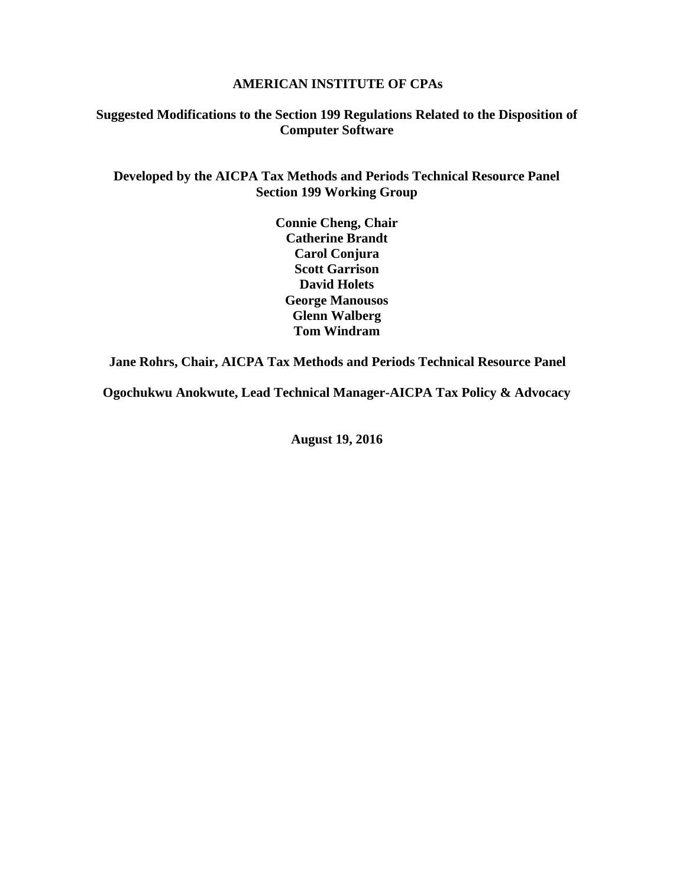#### **AMERICAN INSTITUTE OF CPAs**

### **Suggested Modifications to the Section 199 Regulations Related to the Disposition of Computer Software**

### **Developed by the AICPA Tax Methods and Periods Technical Resource Panel Section 199 Working Group**

**Connie Cheng, Chair Catherine Brandt Carol Conjura Scott Garrison David Holets George Manousos Glenn Walberg Tom Windram**

**Jane Rohrs, Chair, AICPA Tax Methods and Periods Technical Resource Panel**

**Ogochukwu Anokwute, Lead Technical Manager-AICPA Tax Policy & Advocacy**

**August 19, 2016**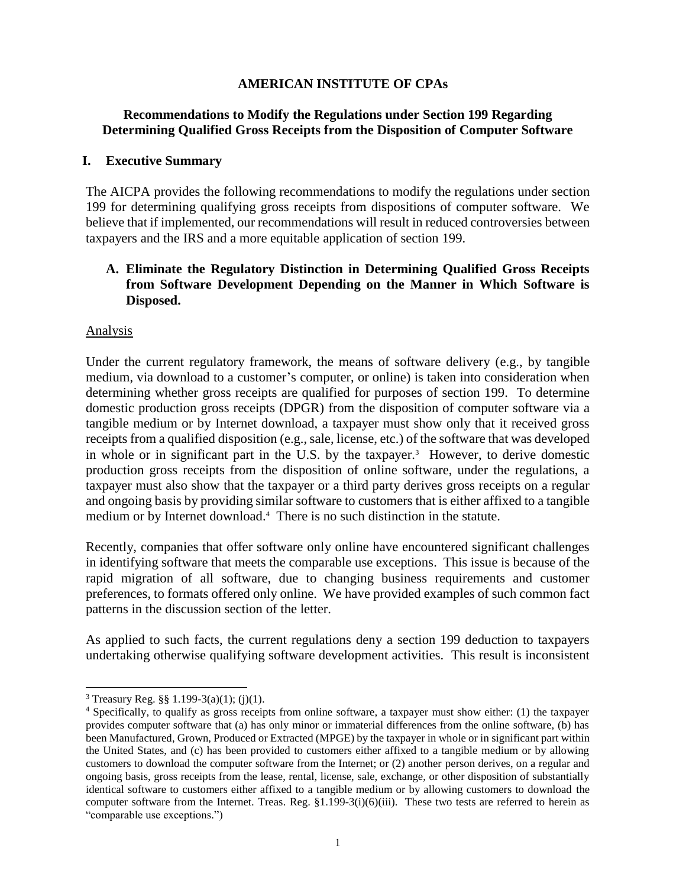### **AMERICAN INSTITUTE OF CPAs**

### **Recommendations to Modify the Regulations under Section 199 Regarding Determining Qualified Gross Receipts from the Disposition of Computer Software**

#### **I. Executive Summary**

The AICPA provides the following recommendations to modify the regulations under section 199 for determining qualifying gross receipts from dispositions of computer software. We believe that if implemented, our recommendations will result in reduced controversies between taxpayers and the IRS and a more equitable application of section 199.

### **A. Eliminate the Regulatory Distinction in Determining Qualified Gross Receipts from Software Development Depending on the Manner in Which Software is Disposed.**

#### Analysis

Under the current regulatory framework, the means of software delivery (e.g., by tangible medium, via download to a customer's computer, or online) is taken into consideration when determining whether gross receipts are qualified for purposes of section 199. To determine domestic production gross receipts (DPGR) from the disposition of computer software via a tangible medium or by Internet download, a taxpayer must show only that it received gross receipts from a qualified disposition (e.g., sale, license, etc.) of the software that was developed in whole or in significant part in the U.S. by the taxpayer.<sup>3</sup> However, to derive domestic production gross receipts from the disposition of online software, under the regulations, a taxpayer must also show that the taxpayer or a third party derives gross receipts on a regular and ongoing basis by providing similar software to customers that is either affixed to a tangible medium or by Internet download.<sup>4</sup> There is no such distinction in the statute.

Recently, companies that offer software only online have encountered significant challenges in identifying software that meets the comparable use exceptions. This issue is because of the rapid migration of all software, due to changing business requirements and customer preferences, to formats offered only online. We have provided examples of such common fact patterns in the discussion section of the letter.

As applied to such facts, the current regulations deny a section 199 deduction to taxpayers undertaking otherwise qualifying software development activities. This result is inconsistent

<sup>&</sup>lt;sup>3</sup> Treasury Reg. §§ 1.199-3(a)(1); (j)(1).

<sup>4</sup> Specifically, to qualify as gross receipts from online software, a taxpayer must show either: (1) the taxpayer provides computer software that (a) has only minor or immaterial differences from the online software, (b) has been Manufactured, Grown, Produced or Extracted (MPGE) by the taxpayer in whole or in significant part within the United States, and (c) has been provided to customers either affixed to a tangible medium or by allowing customers to download the computer software from the Internet; or (2) another person derives, on a regular and ongoing basis, gross receipts from the lease, rental, license, sale, exchange, or other disposition of substantially identical software to customers either affixed to a tangible medium or by allowing customers to download the computer software from the Internet. Treas. Reg. §1.199-3(i)(6)(iii). These two tests are referred to herein as "comparable use exceptions.")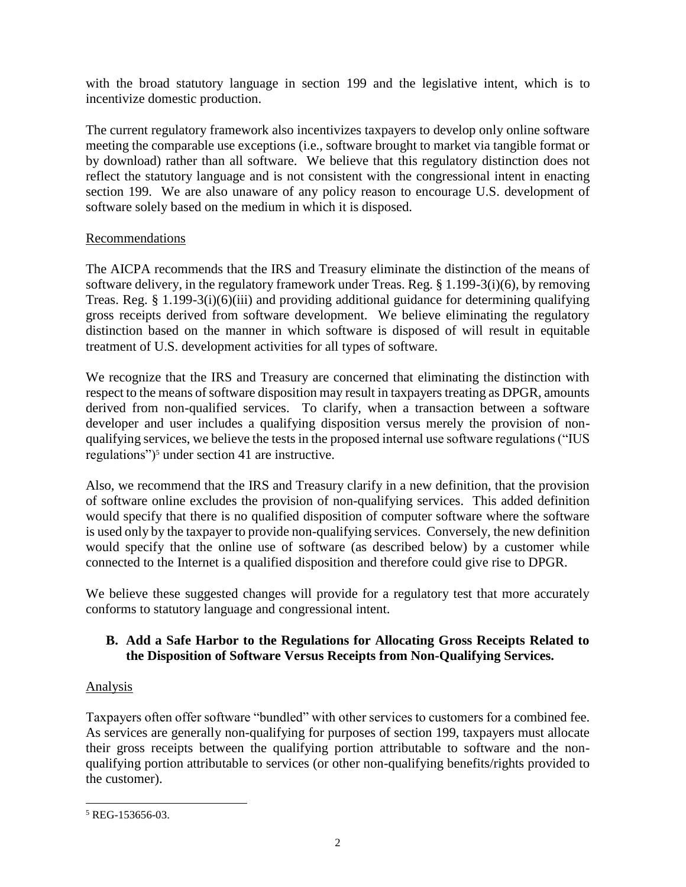with the broad statutory language in section 199 and the legislative intent, which is to incentivize domestic production.

The current regulatory framework also incentivizes taxpayers to develop only online software meeting the comparable use exceptions (i.e., software brought to market via tangible format or by download) rather than all software. We believe that this regulatory distinction does not reflect the statutory language and is not consistent with the congressional intent in enacting section 199. We are also unaware of any policy reason to encourage U.S. development of software solely based on the medium in which it is disposed.

# Recommendations

The AICPA recommends that the IRS and Treasury eliminate the distinction of the means of software delivery, in the regulatory framework under Treas. Reg. § 1.199-3(i)(6), by removing Treas. Reg. § 1.199-3(i)(6)(iii) and providing additional guidance for determining qualifying gross receipts derived from software development. We believe eliminating the regulatory distinction based on the manner in which software is disposed of will result in equitable treatment of U.S. development activities for all types of software.

We recognize that the IRS and Treasury are concerned that eliminating the distinction with respect to the means of software disposition may result in taxpayers treating as DPGR, amounts derived from non-qualified services. To clarify, when a transaction between a software developer and user includes a qualifying disposition versus merely the provision of nonqualifying services, we believe the tests in the proposed internal use software regulations ("IUS regulations")<sup>5</sup> under section 41 are instructive.

Also, we recommend that the IRS and Treasury clarify in a new definition, that the provision of software online excludes the provision of non-qualifying services. This added definition would specify that there is no qualified disposition of computer software where the software is used only by the taxpayer to provide non-qualifying services. Conversely, the new definition would specify that the online use of software (as described below) by a customer while connected to the Internet is a qualified disposition and therefore could give rise to DPGR.

We believe these suggested changes will provide for a regulatory test that more accurately conforms to statutory language and congressional intent.

# **B. Add a Safe Harbor to the Regulations for Allocating Gross Receipts Related to the Disposition of Software Versus Receipts from Non-Qualifying Services.**

# Analysis

Taxpayers often offer software "bundled" with other services to customers for a combined fee. As services are generally non-qualifying for purposes of section 199, taxpayers must allocate their gross receipts between the qualifying portion attributable to software and the nonqualifying portion attributable to services (or other non-qualifying benefits/rights provided to the customer).

 $\overline{a}$  $5$  REG-153656-03.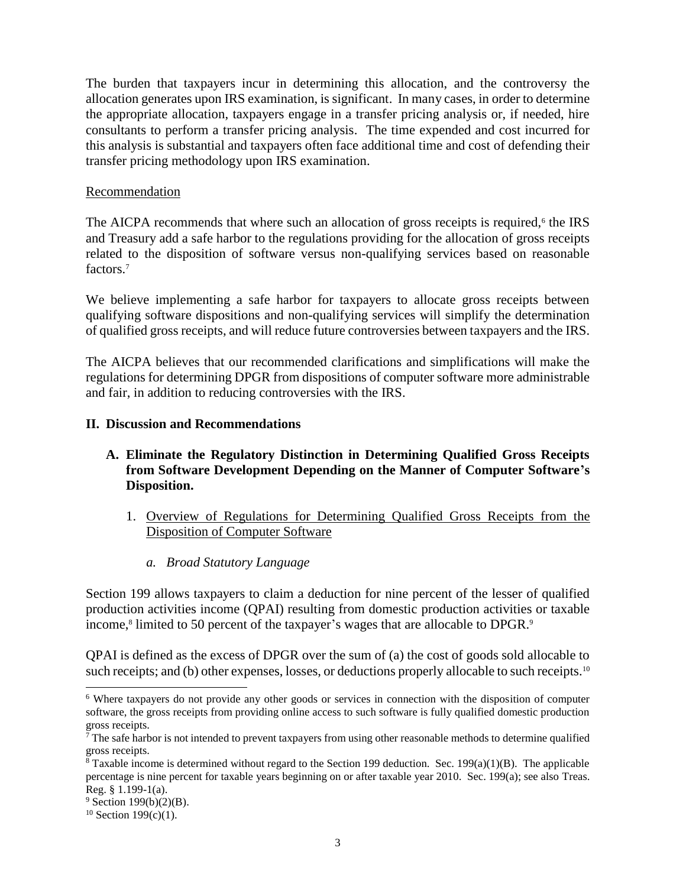The burden that taxpayers incur in determining this allocation, and the controversy the allocation generates upon IRS examination, is significant. In many cases, in order to determine the appropriate allocation, taxpayers engage in a transfer pricing analysis or, if needed, hire consultants to perform a transfer pricing analysis. The time expended and cost incurred for this analysis is substantial and taxpayers often face additional time and cost of defending their transfer pricing methodology upon IRS examination.

#### Recommendation

The AICPA recommends that where such an allocation of gross receipts is required,<sup>6</sup> the IRS and Treasury add a safe harbor to the regulations providing for the allocation of gross receipts related to the disposition of software versus non-qualifying services based on reasonable factors.<sup>7</sup>

We believe implementing a safe harbor for taxpayers to allocate gross receipts between qualifying software dispositions and non-qualifying services will simplify the determination of qualified gross receipts, and will reduce future controversies between taxpayers and the IRS.

The AICPA believes that our recommended clarifications and simplifications will make the regulations for determining DPGR from dispositions of computer software more administrable and fair, in addition to reducing controversies with the IRS.

#### **II. Discussion and Recommendations**

### **A. Eliminate the Regulatory Distinction in Determining Qualified Gross Receipts from Software Development Depending on the Manner of Computer Software's Disposition.**

- 1. Overview of Regulations for Determining Qualified Gross Receipts from the Disposition of Computer Software
	- *a. Broad Statutory Language*

Section 199 allows taxpayers to claim a deduction for nine percent of the lesser of qualified production activities income (QPAI) resulting from domestic production activities or taxable income,<sup>8</sup> limited to 50 percent of the taxpayer's wages that are allocable to DPGR.<sup>9</sup>

QPAI is defined as the excess of DPGR over the sum of (a) the cost of goods sold allocable to such receipts; and (b) other expenses, losses, or deductions properly allocable to such receipts.<sup>10</sup>

<sup>6</sup> Where taxpayers do not provide any other goods or services in connection with the disposition of computer software, the gross receipts from providing online access to such software is fully qualified domestic production gross receipts.

 $\bar{7}$  The safe harbor is not intended to prevent taxpayers from using other reasonable methods to determine qualified gross receipts.

 $8$  Taxable income is determined without regard to the Section 199 deduction. Sec. 199(a)(1)(B). The applicable percentage is nine percent for taxable years beginning on or after taxable year 2010. Sec. 199(a); see also Treas. Reg. § 1.199-1(a).

 $9$  Section 199(b)(2)(B).

 $10$  Section 199(c)(1).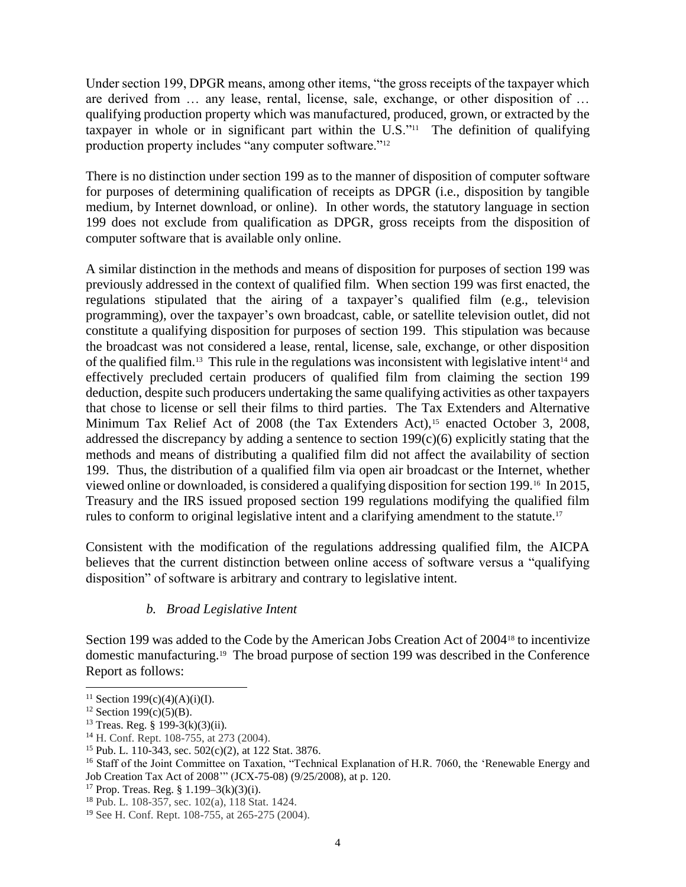Under section 199, DPGR means, among other items, "the gross receipts of the taxpayer which are derived from … any lease, rental, license, sale, exchange, or other disposition of … qualifying production property which was manufactured, produced, grown, or extracted by the taxpayer in whole or in significant part within the  $U.S.^{"11}$  The definition of qualifying production property includes "any computer software."<sup>12</sup>

There is no distinction under section 199 as to the manner of disposition of computer software for purposes of determining qualification of receipts as DPGR (i.e., disposition by tangible medium, by Internet download, or online). In other words, the statutory language in section 199 does not exclude from qualification as DPGR, gross receipts from the disposition of computer software that is available only online.

A similar distinction in the methods and means of disposition for purposes of section 199 was previously addressed in the context of qualified film. When section 199 was first enacted, the regulations stipulated that the airing of a taxpayer's qualified film (e.g., television programming), over the taxpayer's own broadcast, cable, or satellite television outlet, did not constitute a qualifying disposition for purposes of section 199. This stipulation was because the broadcast was not considered a lease, rental, license, sale, exchange, or other disposition of the qualified film.<sup>13</sup> This rule in the regulations was inconsistent with legislative intent<sup>14</sup> and effectively precluded certain producers of qualified film from claiming the section 199 deduction, despite such producers undertaking the same qualifying activities as other taxpayers that chose to license or sell their films to third parties. The Tax Extenders and Alternative Minimum Tax Relief Act of 2008 (the Tax Extenders Act),<sup>15</sup> enacted October 3, 2008, addressed the discrepancy by adding a sentence to section 199(c)(6) explicitly stating that the methods and means of distributing a qualified film did not affect the availability of section 199. Thus, the distribution of a qualified film via open air broadcast or the Internet, whether viewed online or downloaded, is considered a qualifying disposition for section 199.<sup>16</sup> In 2015, Treasury and the IRS issued proposed section 199 regulations modifying the qualified film rules to conform to original legislative intent and a clarifying amendment to the statute.<sup>17</sup>

Consistent with the modification of the regulations addressing qualified film, the AICPA believes that the current distinction between online access of software versus a "qualifying disposition" of software is arbitrary and contrary to legislative intent.

### *b. Broad Legislative Intent*

Section 199 was added to the Code by the American Jobs Creation Act of 2004<sup>18</sup> to incentivize domestic manufacturing.<sup>19</sup> The broad purpose of section 199 was described in the Conference Report as follows:

<sup>&</sup>lt;sup>11</sup> Section 199(c)(4)(A)(i)(I).

<sup>&</sup>lt;sup>12</sup> Section 199(c)(5)(B).

<sup>13</sup> Treas. Reg. § 199-3(k)(3)(ii).

<sup>14</sup> H. Conf. Rept. 108-755, at 273 (2004).

<sup>15</sup> Pub. L. 110-343, sec. 502(c)(2), at 122 Stat. 3876.

<sup>&</sup>lt;sup>16</sup> Staff of the Joint Committee on Taxation, "Technical Explanation of H.R. 7060, the 'Renewable Energy and Job Creation Tax Act of 2008'" (JCX-75-08) (9/25/2008), at p. 120.

<sup>&</sup>lt;sup>17</sup> Prop. Treas. Reg. § 1.199–3(k)(3)(i).

<sup>18</sup> Pub. L. 108-357, sec. 102(a), 118 Stat. 1424.

<sup>19</sup> See H. Conf. Rept. 108-755, at 265-275 (2004).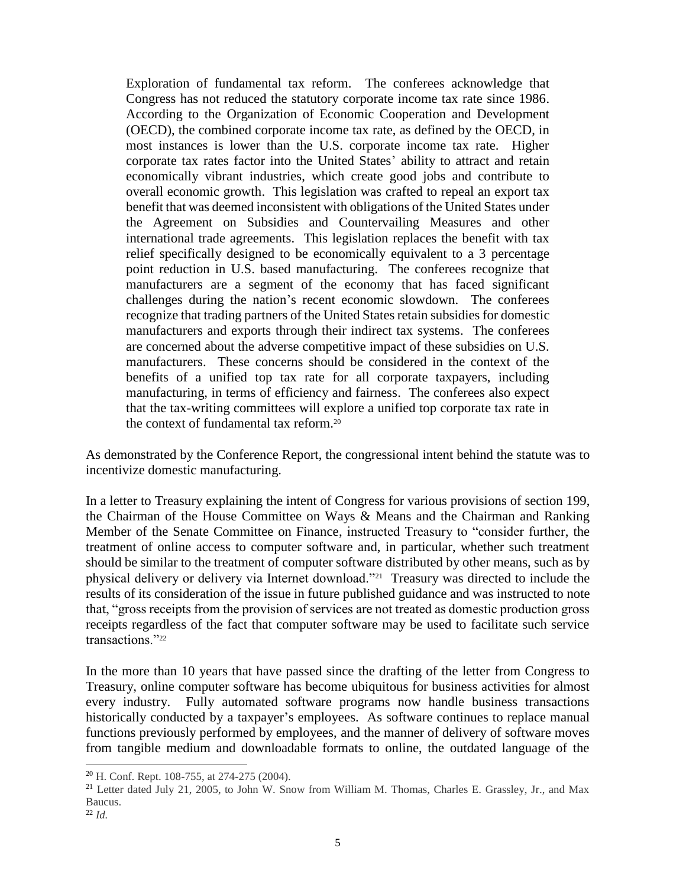Exploration of fundamental tax reform. The conferees acknowledge that Congress has not reduced the statutory corporate income tax rate since 1986. According to the Organization of Economic Cooperation and Development (OECD), the combined corporate income tax rate, as defined by the OECD, in most instances is lower than the U.S. corporate income tax rate. Higher corporate tax rates factor into the United States' ability to attract and retain economically vibrant industries, which create good jobs and contribute to overall economic growth. This legislation was crafted to repeal an export tax benefit that was deemed inconsistent with obligations of the United States under the Agreement on Subsidies and Countervailing Measures and other international trade agreements. This legislation replaces the benefit with tax relief specifically designed to be economically equivalent to a 3 percentage point reduction in U.S. based manufacturing. The conferees recognize that manufacturers are a segment of the economy that has faced significant challenges during the nation's recent economic slowdown. The conferees recognize that trading partners of the United States retain subsidies for domestic manufacturers and exports through their indirect tax systems. The conferees are concerned about the adverse competitive impact of these subsidies on U.S. manufacturers. These concerns should be considered in the context of the benefits of a unified top tax rate for all corporate taxpayers, including manufacturing, in terms of efficiency and fairness. The conferees also expect that the tax-writing committees will explore a unified top corporate tax rate in the context of fundamental tax reform.<sup>20</sup>

As demonstrated by the Conference Report, the congressional intent behind the statute was to incentivize domestic manufacturing.

In a letter to Treasury explaining the intent of Congress for various provisions of section 199, the Chairman of the House Committee on Ways & Means and the Chairman and Ranking Member of the Senate Committee on Finance, instructed Treasury to "consider further, the treatment of online access to computer software and, in particular, whether such treatment should be similar to the treatment of computer software distributed by other means, such as by physical delivery or delivery via Internet download."<sup>21</sup> Treasury was directed to include the results of its consideration of the issue in future published guidance and was instructed to note that, "gross receipts from the provision of services are not treated as domestic production gross receipts regardless of the fact that computer software may be used to facilitate such service transactions."<sup>22</sup>

In the more than 10 years that have passed since the drafting of the letter from Congress to Treasury, online computer software has become ubiquitous for business activities for almost every industry. Fully automated software programs now handle business transactions historically conducted by a taxpayer's employees. As software continues to replace manual functions previously performed by employees, and the manner of delivery of software moves from tangible medium and downloadable formats to online, the outdated language of the

<sup>20</sup> H. Conf. Rept. 108-755, at 274-275 (2004).

<sup>21</sup> Letter dated July 21, 2005, to John W. Snow from William M. Thomas, Charles E. Grassley, Jr., and Max Baucus.

<sup>22</sup> *Id.*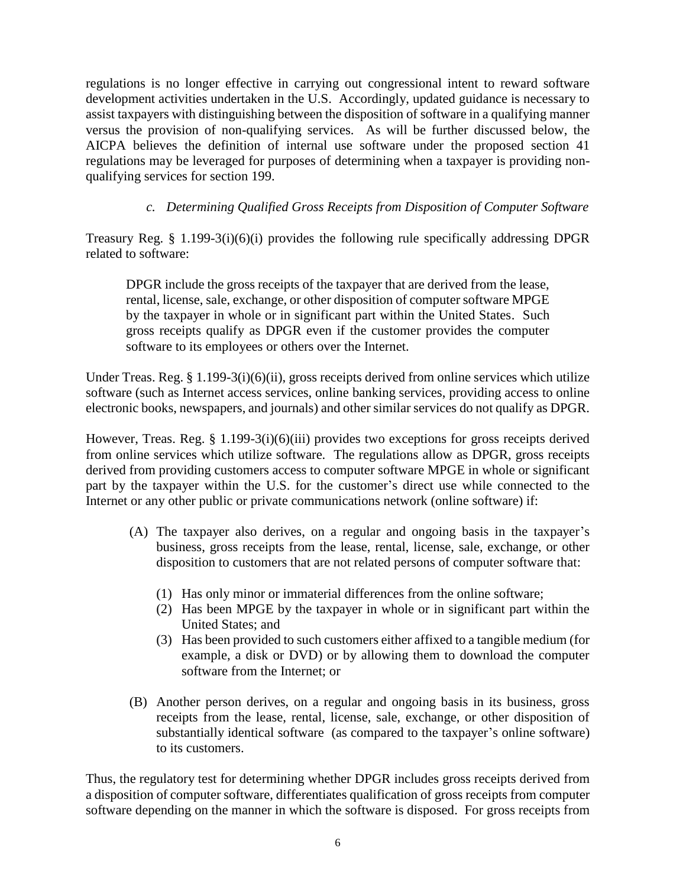regulations is no longer effective in carrying out congressional intent to reward software development activities undertaken in the U.S. Accordingly, updated guidance is necessary to assist taxpayers with distinguishing between the disposition of software in a qualifying manner versus the provision of non-qualifying services. As will be further discussed below, the AICPA believes the definition of internal use software under the proposed section 41 regulations may be leveraged for purposes of determining when a taxpayer is providing nonqualifying services for section 199.

# *c. Determining Qualified Gross Receipts from Disposition of Computer Software*

Treasury Reg. § 1.199-3(i)(6)(i) provides the following rule specifically addressing DPGR related to software:

DPGR include the gross receipts of the taxpayer that are derived from the lease, rental, license, sale, exchange, or other disposition of computer software MPGE by the taxpayer in whole or in significant part within the United States. Such gross receipts qualify as DPGR even if the customer provides the computer software to its employees or others over the Internet.

Under Treas. Reg. § 1.199-3(i)(6)(ii), gross receipts derived from online services which utilize software (such as Internet access services, online banking services, providing access to online electronic books, newspapers, and journals) and other similar services do not qualify as DPGR.

However, Treas. Reg. § 1.199-3(i)(6)(iii) provides two exceptions for gross receipts derived from online services which utilize software. The regulations allow as DPGR, gross receipts derived from providing customers access to computer software MPGE in whole or significant part by the taxpayer within the U.S. for the customer's direct use while connected to the Internet or any other public or private communications network (online software) if:

- (A) The taxpayer also derives, on a regular and ongoing basis in the taxpayer's business, gross receipts from the lease, rental, license, sale, exchange, or other disposition to customers that are not related persons of computer software that:
	- (1) Has only minor or immaterial differences from the online software;
	- (2) Has been MPGE by the taxpayer in whole or in significant part within the United States; and
	- (3) Has been provided to such customers either affixed to a tangible medium (for example, a disk or DVD) or by allowing them to download the computer software from the Internet; or
- (B) Another person derives, on a regular and ongoing basis in its business, gross receipts from the lease, rental, license, sale, exchange, or other disposition of substantially identical software (as compared to the taxpayer's online software) to its customers.

Thus, the regulatory test for determining whether DPGR includes gross receipts derived from a disposition of computer software, differentiates qualification of gross receipts from computer software depending on the manner in which the software is disposed. For gross receipts from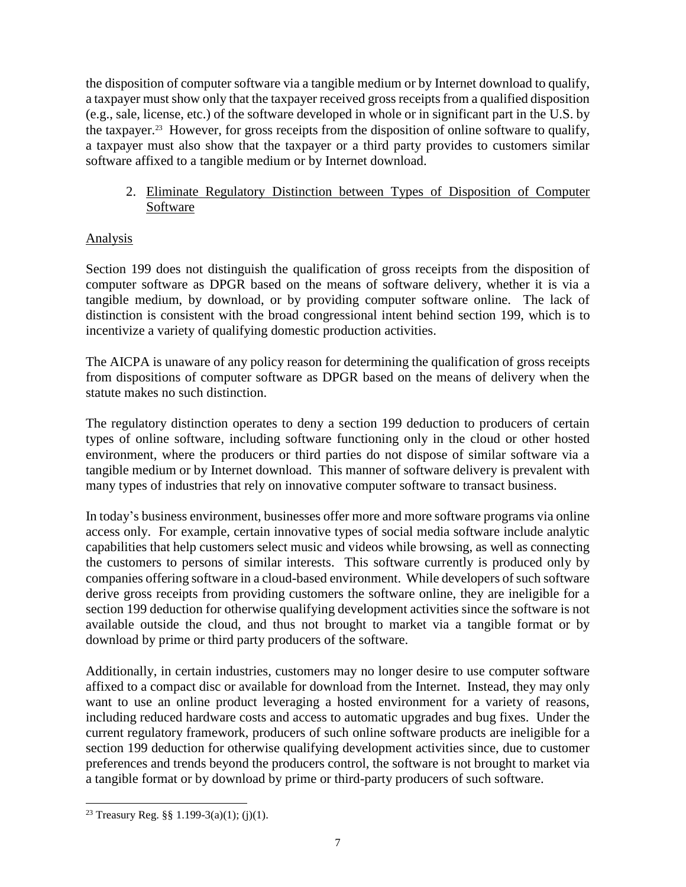the disposition of computer software via a tangible medium or by Internet download to qualify, a taxpayer must show only that the taxpayer received gross receipts from a qualified disposition (e.g., sale, license, etc.) of the software developed in whole or in significant part in the U.S. by the taxpayer.<sup>23</sup> However, for gross receipts from the disposition of online software to qualify, a taxpayer must also show that the taxpayer or a third party provides to customers similar software affixed to a tangible medium or by Internet download.

2. Eliminate Regulatory Distinction between Types of Disposition of Computer Software

# Analysis

Section 199 does not distinguish the qualification of gross receipts from the disposition of computer software as DPGR based on the means of software delivery, whether it is via a tangible medium, by download, or by providing computer software online. The lack of distinction is consistent with the broad congressional intent behind section 199, which is to incentivize a variety of qualifying domestic production activities.

The AICPA is unaware of any policy reason for determining the qualification of gross receipts from dispositions of computer software as DPGR based on the means of delivery when the statute makes no such distinction.

The regulatory distinction operates to deny a section 199 deduction to producers of certain types of online software, including software functioning only in the cloud or other hosted environment, where the producers or third parties do not dispose of similar software via a tangible medium or by Internet download. This manner of software delivery is prevalent with many types of industries that rely on innovative computer software to transact business.

In today's business environment, businesses offer more and more software programs via online access only. For example, certain innovative types of social media software include analytic capabilities that help customers select music and videos while browsing, as well as connecting the customers to persons of similar interests. This software currently is produced only by companies offering software in a cloud-based environment. While developers of such software derive gross receipts from providing customers the software online, they are ineligible for a section 199 deduction for otherwise qualifying development activities since the software is not available outside the cloud, and thus not brought to market via a tangible format or by download by prime or third party producers of the software.

Additionally, in certain industries, customers may no longer desire to use computer software affixed to a compact disc or available for download from the Internet. Instead, they may only want to use an online product leveraging a hosted environment for a variety of reasons, including reduced hardware costs and access to automatic upgrades and bug fixes. Under the current regulatory framework, producers of such online software products are ineligible for a section 199 deduction for otherwise qualifying development activities since, due to customer preferences and trends beyond the producers control, the software is not brought to market via a tangible format or by download by prime or third-party producers of such software.

<sup>&</sup>lt;sup>23</sup> Treasury Reg. §§ 1.199-3(a)(1); (j)(1).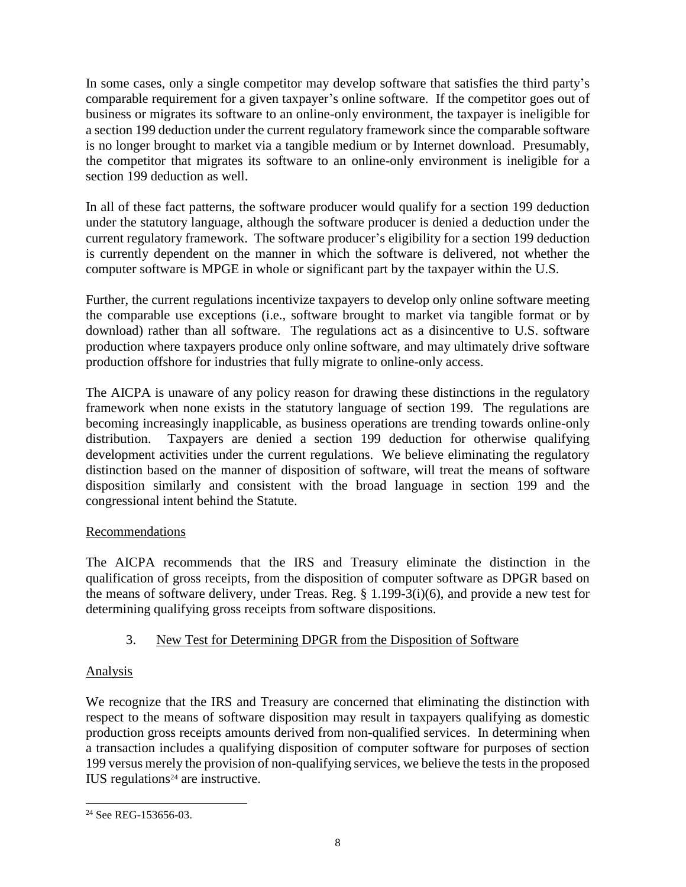In some cases, only a single competitor may develop software that satisfies the third party's comparable requirement for a given taxpayer's online software. If the competitor goes out of business or migrates its software to an online-only environment, the taxpayer is ineligible for a section 199 deduction under the current regulatory framework since the comparable software is no longer brought to market via a tangible medium or by Internet download. Presumably, the competitor that migrates its software to an online-only environment is ineligible for a section 199 deduction as well.

In all of these fact patterns, the software producer would qualify for a section 199 deduction under the statutory language, although the software producer is denied a deduction under the current regulatory framework. The software producer's eligibility for a section 199 deduction is currently dependent on the manner in which the software is delivered, not whether the computer software is MPGE in whole or significant part by the taxpayer within the U.S.

Further, the current regulations incentivize taxpayers to develop only online software meeting the comparable use exceptions (i.e., software brought to market via tangible format or by download) rather than all software. The regulations act as a disincentive to U.S. software production where taxpayers produce only online software, and may ultimately drive software production offshore for industries that fully migrate to online-only access.

The AICPA is unaware of any policy reason for drawing these distinctions in the regulatory framework when none exists in the statutory language of section 199. The regulations are becoming increasingly inapplicable, as business operations are trending towards online-only distribution. Taxpayers are denied a section 199 deduction for otherwise qualifying development activities under the current regulations. We believe eliminating the regulatory distinction based on the manner of disposition of software, will treat the means of software disposition similarly and consistent with the broad language in section 199 and the congressional intent behind the Statute.

# Recommendations

The AICPA recommends that the IRS and Treasury eliminate the distinction in the qualification of gross receipts, from the disposition of computer software as DPGR based on the means of software delivery, under Treas. Reg. § 1.199-3(i)(6), and provide a new test for determining qualifying gross receipts from software dispositions.

# 3. New Test for Determining DPGR from the Disposition of Software

# Analysis

 $\overline{a}$ 

We recognize that the IRS and Treasury are concerned that eliminating the distinction with respect to the means of software disposition may result in taxpayers qualifying as domestic production gross receipts amounts derived from non-qualified services. In determining when a transaction includes a qualifying disposition of computer software for purposes of section 199 versus merely the provision of non-qualifying services, we believe the tests in the proposed IUS regulations $24$  are instructive.

<sup>&</sup>lt;sup>24</sup> See REG-153656-03.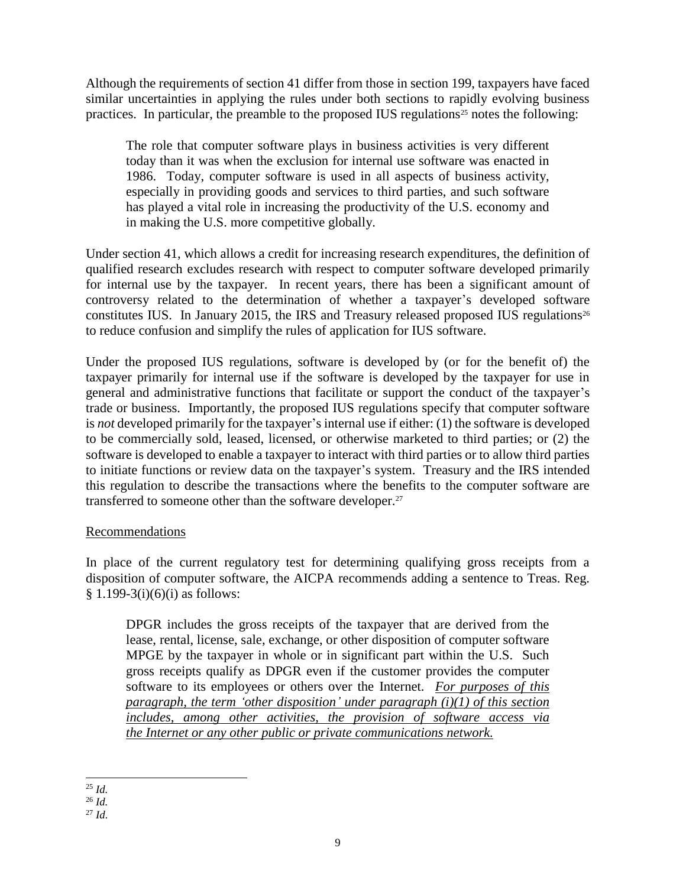Although the requirements of section 41 differ from those in section 199, taxpayers have faced similar uncertainties in applying the rules under both sections to rapidly evolving business practices. In particular, the preamble to the proposed IUS regulations<sup>25</sup> notes the following:

The role that computer software plays in business activities is very different today than it was when the exclusion for internal use software was enacted in 1986. Today, computer software is used in all aspects of business activity, especially in providing goods and services to third parties, and such software has played a vital role in increasing the productivity of the U.S. economy and in making the U.S. more competitive globally.

Under section 41, which allows a credit for increasing research expenditures, the definition of qualified research excludes research with respect to computer software developed primarily for internal use by the taxpayer. In recent years, there has been a significant amount of controversy related to the determination of whether a taxpayer's developed software constitutes IUS. In January 2015, the IRS and Treasury released proposed IUS regulations<sup>26</sup> to reduce confusion and simplify the rules of application for IUS software.

Under the proposed IUS regulations, software is developed by (or for the benefit of) the taxpayer primarily for internal use if the software is developed by the taxpayer for use in general and administrative functions that facilitate or support the conduct of the taxpayer's trade or business. Importantly, the proposed IUS regulations specify that computer software is *not* developed primarily for the taxpayer's internal use if either: (1) the software is developed to be commercially sold, leased, licensed, or otherwise marketed to third parties; or (2) the software is developed to enable a taxpayer to interact with third parties or to allow third parties to initiate functions or review data on the taxpayer's system. Treasury and the IRS intended this regulation to describe the transactions where the benefits to the computer software are transferred to someone other than the software developer.<sup>27</sup>

### Recommendations

In place of the current regulatory test for determining qualifying gross receipts from a disposition of computer software, the AICPA recommends adding a sentence to Treas. Reg.  $§ 1.199-3(i)(6)(i)$  as follows:

DPGR includes the gross receipts of the taxpayer that are derived from the lease, rental, license, sale, exchange, or other disposition of computer software MPGE by the taxpayer in whole or in significant part within the U.S. Such gross receipts qualify as DPGR even if the customer provides the computer software to its employees or others over the Internet. *For purposes of this paragraph, the term 'other disposition' under paragraph (i)(1) of this section includes, among other activities, the provision of software access via the Internet or any other public or private communications network.*

 $\overline{a}$ <sup>25</sup> *Id.*

<sup>26</sup> *Id.*

<sup>27</sup> *Id.*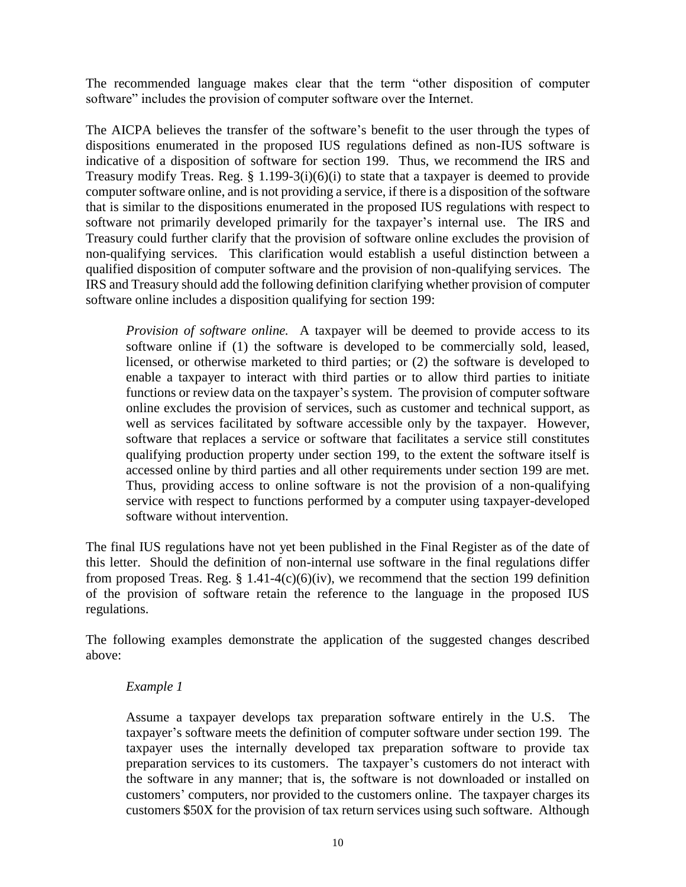The recommended language makes clear that the term "other disposition of computer software" includes the provision of computer software over the Internet.

The AICPA believes the transfer of the software's benefit to the user through the types of dispositions enumerated in the proposed IUS regulations defined as non-IUS software is indicative of a disposition of software for section 199. Thus, we recommend the IRS and Treasury modify Treas. Reg.  $\S$  1.199-3(i)(6)(i) to state that a taxpayer is deemed to provide computer software online, and is not providing a service, if there is a disposition of the software that is similar to the dispositions enumerated in the proposed IUS regulations with respect to software not primarily developed primarily for the taxpayer's internal use. The IRS and Treasury could further clarify that the provision of software online excludes the provision of non-qualifying services. This clarification would establish a useful distinction between a qualified disposition of computer software and the provision of non-qualifying services. The IRS and Treasury should add the following definition clarifying whether provision of computer software online includes a disposition qualifying for section 199:

*Provision of software online.* A taxpayer will be deemed to provide access to its software online if (1) the software is developed to be commercially sold, leased, licensed, or otherwise marketed to third parties; or (2) the software is developed to enable a taxpayer to interact with third parties or to allow third parties to initiate functions or review data on the taxpayer's system. The provision of computer software online excludes the provision of services, such as customer and technical support, as well as services facilitated by software accessible only by the taxpayer. However, software that replaces a service or software that facilitates a service still constitutes qualifying production property under section 199, to the extent the software itself is accessed online by third parties and all other requirements under section 199 are met. Thus, providing access to online software is not the provision of a non-qualifying service with respect to functions performed by a computer using taxpayer-developed software without intervention.

The final IUS regulations have not yet been published in the Final Register as of the date of this letter. Should the definition of non-internal use software in the final regulations differ from proposed Treas. Reg.  $\S$  1.41-4(c)(6)(iv), we recommend that the section 199 definition of the provision of software retain the reference to the language in the proposed IUS regulations.

The following examples demonstrate the application of the suggested changes described above:

### *Example 1*

Assume a taxpayer develops tax preparation software entirely in the U.S. The taxpayer's software meets the definition of computer software under section 199. The taxpayer uses the internally developed tax preparation software to provide tax preparation services to its customers. The taxpayer's customers do not interact with the software in any manner; that is, the software is not downloaded or installed on customers' computers, nor provided to the customers online. The taxpayer charges its customers \$50X for the provision of tax return services using such software. Although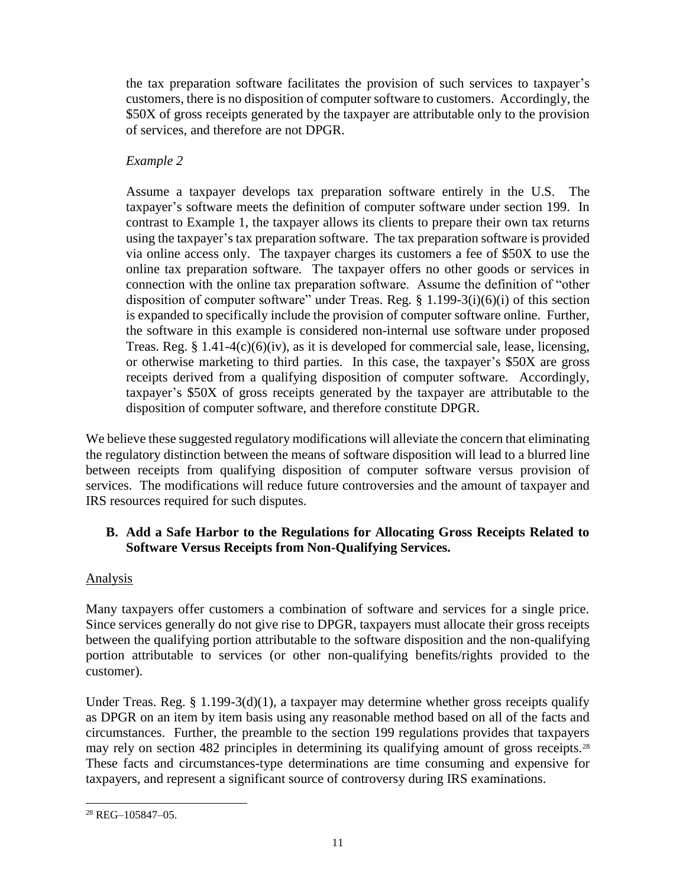the tax preparation software facilitates the provision of such services to taxpayer's customers, there is no disposition of computer software to customers. Accordingly, the \$50X of gross receipts generated by the taxpayer are attributable only to the provision of services, and therefore are not DPGR.

# *Example 2*

Assume a taxpayer develops tax preparation software entirely in the U.S. The taxpayer's software meets the definition of computer software under section 199. In contrast to Example 1, the taxpayer allows its clients to prepare their own tax returns using the taxpayer's tax preparation software. The tax preparation software is provided via online access only. The taxpayer charges its customers a fee of \$50X to use the online tax preparation software. The taxpayer offers no other goods or services in connection with the online tax preparation software. Assume the definition of "other disposition of computer software" under Treas. Reg. § 1.199-3(i)(6)(i) of this section is expanded to specifically include the provision of computer software online. Further, the software in this example is considered non-internal use software under proposed Treas. Reg. § 1.41-4(c)(6)(iv), as it is developed for commercial sale, lease, licensing, or otherwise marketing to third parties. In this case, the taxpayer's \$50X are gross receipts derived from a qualifying disposition of computer software. Accordingly, taxpayer's \$50X of gross receipts generated by the taxpayer are attributable to the disposition of computer software, and therefore constitute DPGR.

We believe these suggested regulatory modifications will alleviate the concern that eliminating the regulatory distinction between the means of software disposition will lead to a blurred line between receipts from qualifying disposition of computer software versus provision of services. The modifications will reduce future controversies and the amount of taxpayer and IRS resources required for such disputes.

# **B. Add a Safe Harbor to the Regulations for Allocating Gross Receipts Related to Software Versus Receipts from Non-Qualifying Services.**

# Analysis

Many taxpayers offer customers a combination of software and services for a single price. Since services generally do not give rise to DPGR, taxpayers must allocate their gross receipts between the qualifying portion attributable to the software disposition and the non-qualifying portion attributable to services (or other non-qualifying benefits/rights provided to the customer).

Under Treas. Reg. § 1.199-3(d)(1), a taxpayer may determine whether gross receipts qualify as DPGR on an item by item basis using any reasonable method based on all of the facts and circumstances. Further, the preamble to the section 199 regulations provides that taxpayers may rely on section 482 principles in determining its qualifying amount of gross receipts.<sup>28</sup> These facts and circumstances-type determinations are time consuming and expensive for taxpayers, and represent a significant source of controversy during IRS examinations.

 $\overline{a}$ <sup>28</sup> REG–105847–05.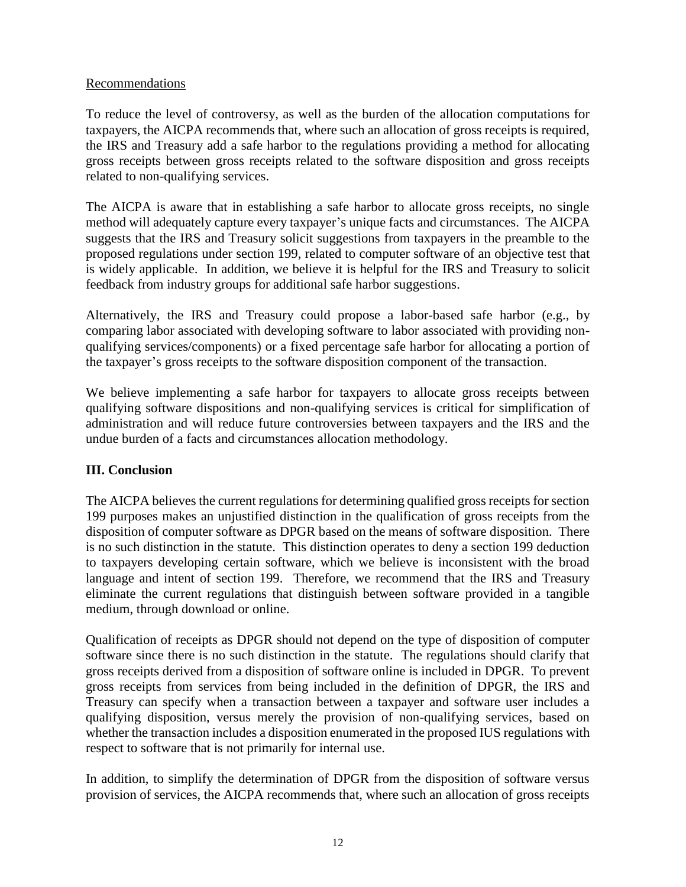### Recommendations

To reduce the level of controversy, as well as the burden of the allocation computations for taxpayers, the AICPA recommends that, where such an allocation of gross receipts is required, the IRS and Treasury add a safe harbor to the regulations providing a method for allocating gross receipts between gross receipts related to the software disposition and gross receipts related to non-qualifying services.

The AICPA is aware that in establishing a safe harbor to allocate gross receipts, no single method will adequately capture every taxpayer's unique facts and circumstances. The AICPA suggests that the IRS and Treasury solicit suggestions from taxpayers in the preamble to the proposed regulations under section 199, related to computer software of an objective test that is widely applicable. In addition, we believe it is helpful for the IRS and Treasury to solicit feedback from industry groups for additional safe harbor suggestions.

Alternatively, the IRS and Treasury could propose a labor-based safe harbor (e.g., by comparing labor associated with developing software to labor associated with providing nonqualifying services/components) or a fixed percentage safe harbor for allocating a portion of the taxpayer's gross receipts to the software disposition component of the transaction.

We believe implementing a safe harbor for taxpayers to allocate gross receipts between qualifying software dispositions and non-qualifying services is critical for simplification of administration and will reduce future controversies between taxpayers and the IRS and the undue burden of a facts and circumstances allocation methodology.

# **III. Conclusion**

The AICPA believes the current regulations for determining qualified gross receipts for section 199 purposes makes an unjustified distinction in the qualification of gross receipts from the disposition of computer software as DPGR based on the means of software disposition. There is no such distinction in the statute. This distinction operates to deny a section 199 deduction to taxpayers developing certain software, which we believe is inconsistent with the broad language and intent of section 199. Therefore, we recommend that the IRS and Treasury eliminate the current regulations that distinguish between software provided in a tangible medium, through download or online.

Qualification of receipts as DPGR should not depend on the type of disposition of computer software since there is no such distinction in the statute. The regulations should clarify that gross receipts derived from a disposition of software online is included in DPGR. To prevent gross receipts from services from being included in the definition of DPGR, the IRS and Treasury can specify when a transaction between a taxpayer and software user includes a qualifying disposition, versus merely the provision of non-qualifying services, based on whether the transaction includes a disposition enumerated in the proposed IUS regulations with respect to software that is not primarily for internal use.

In addition, to simplify the determination of DPGR from the disposition of software versus provision of services, the AICPA recommends that, where such an allocation of gross receipts